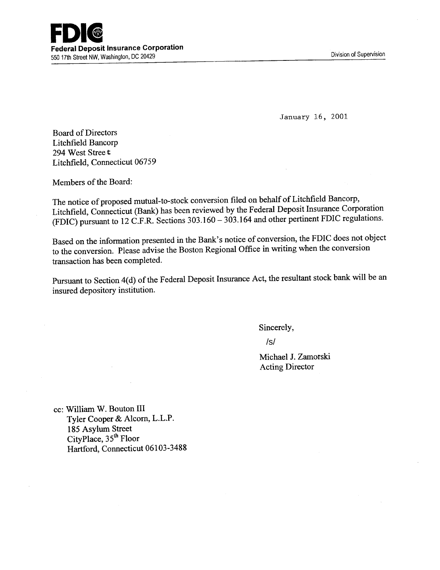January 16, 2001

Board of Directors Litchfield Bancorp 294 West Stree t Litchfield, Connecticut *06759* 

Members of the Board:

The notice of proposed mutual-to-stock conversion filed on behalf of Litchfield Bancorp, Litchfield, Connecticut (Bank) has been reviewed by the Federal Deposit Insurance Corporation (FDIC) pursuant to 12 C.F.R. Sections 303.160 - 303.164 and other pertinent FDIC regulations.

Based on the information presented in the Bank's notice of conversion, the FDIC does not object to the conversion. Please advise the Boston Regional Office in writing when the conversion transaction has been completed.

Pursuant to Section 4(d) of the Federal Deposit Insurance Act, the resultant stock bank will be an insured depository institution.

Sincerely,

/s/

Michael J. Zamorski Acting Director

cc: William W. Bouton III Tyler Cooper & Alcorn, L.L.P. 185 Asylum Street CityPlace, 35**th** Floor Hartford, Connecticut 06103-3488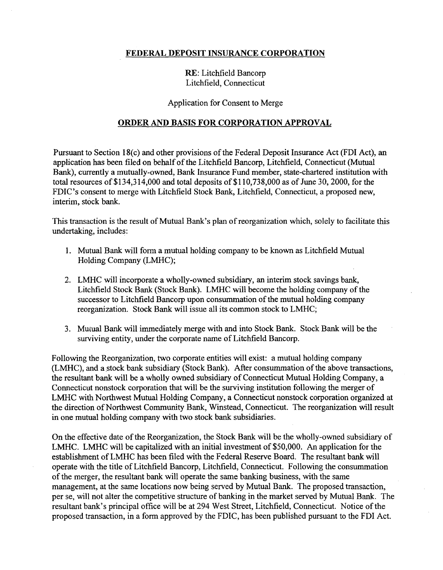## FEDERAL DEPOSIT INSURANCE CORPORATION

## RE: Litchfield Bancorp Litchfield, Connecticut

#### Application for Consent to Merge

### ORDER AND BASIS FOR CORPORATION APPROVAL

Pursuant to Section 18(c) and other provisions of the Federal Deposit Insurance Act (FDI Act), an application has been filed on behalf of the Litchfield Bancorp, Litchfield, Connecticut (Mutual Bank), currently a mutually-owned, Bank Insurance Fund member, state-chartered institution with total resources of \$134,314,000 and total deposits of \$110,738,000 as of June 30, 2000, for the FDIC's consent to merge with Litchfield Stock Bank, Litchfield, Connecticut, a proposed new, interim, stock bank.

This transaction is the result of Mutual Bank's plan of reorganization which, solely to facilitate this undertaking, includes:

- 1. Mutual Bank will form a mutual holding company to be known as Litchfield Mutual Holding Company (LMHC);
- 2. LMHC will incorporate a wholly-owned subsidiary, an interim stock savings bank, Litchfield Stock Bank (Stock Bank). LMHC will become the holding company of the successor to Litchfield Bancorp upon consummation of the mutual holding company reorganization. Stock Bank will issue all its common stock to LMHC;
- 3. Mutual Bank will immediately merge with and into Stock Bank. Stock Bank will be the surviving entity, under the corporate name of Litchfield Bancorp.

Following the Reorganization, two corporate entities will exist: a mutual holding company (LMHC), and a stock bank subsidiary (Stock Bank). After consummation of the above transactions, the resultant bank will be a wholly owned subsidiary of Connecticut Mutual Holding Company, a Connecticut nonstock corporation that will be the surviving institution following the merger of LMHC with Northwest Mutual Holding Company, a Connecticut nonstock corporation organized at the direction of Northwest Community Bank, Winstead, Connecticut. The reorganization will result in one mutual holding company with two stock bank subsidiaries.

On the effective date of the Reorganization, the Stock Bank will be the wholly-owned subsidiary of LMHC. LMHC will be capitalized with an initial investment of \$50,000. An application for the establishment of LMHC has been filed with the Federal Reserve Board. The resultant bank will operate with the title of Litchfield Bancorp, Litchfield, Connecticut. Following the consummation of the merger, the resultant bank will operate the same banking business, with the same management, at the same locations now being served by Mutual Bank. The proposed transaction, per se, will not alter the competitive structure of banking in the market served by Mutual Bank. The resultant bank's principal office will be at 294 West Street, Litchfield, Connecticut. Notice of the proposed transaction, in a form approved by the FDIC, has been published pursuant to the FDI Act.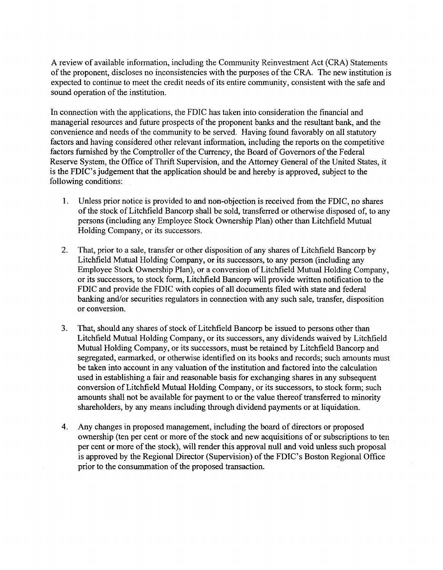A review of available information, including the Community Reinvestment Act (CRA) Statements of the proponent, discloses no inconsistencies with the purposes of the CRA. The new institution is expected to continue to meet the credit needs of its entire community, consistent with the safe and sound operation of the institution.

In connection with the applications, the FDIC has taken into consideration the financial and managerial resources and future prospects of the proponent banks and the resultant bank, and the convenience and needs of the community to be served. Having found favorably on all statutory factors and having considered other relevant information, including the reports on the competitive factors furnished by the Comptroller of the Currency, the Board of Governors of the Federal Reserve System, the Office of Thrift Supervision, and the Attorney General of the United States, it is the FDIC's judgement that the application should be and hereby is approved, subject to the following conditions:

- 1. Unless prior notice is provided to and non-objection is received from the FDIC, no shares of the stock of Litchfield Bancorp shall be sold, transferred or otherwise disposed of, to any persons (including any Employee Stock Ownership Plan) other than Litchfield Mutual Holding Company, or its successors.
- 2. That, prior to a sale, transfer or other disposition of any shares of Litchfield Bancorp by Litchfield Mutual Holding Company, or its successors, to any person (including any Employee Stock Ownership Plan), or a conversion of Litchfield Mutual Holding Company, or its successors, to stock form, Litchfield Bancorp will provide written notification to the FDIC and provide the FDIC with copies of all documents filed with state and federal banking and/or securities regulators in connection with any such sale, transfer, disposition or conversion.
- 3. That, should any shares of stock of Litchfield Bancorp be issued to persons other than Litchfield Mutual Holding Company, or its successors, any dividends waived by Litchfield Mutual Holding Company, or its successors, must be retained by Litchfield Bancorp and segregated, earmarked, or otherwise identified on its books and records; such amounts must be taken into account in any valuation of the institution and factored into the calculation used in establishing a fair and reasonable basis for exchanging shares in any subsequent conversion of Litchfield Mutual Holding Company, or its successors, to stock form; such amounts shall not be available for payment to or the value thereof transferred to minority shareholders, by any means including through dividend payments or at liquidation.
- 4. Any changes in proposed management, including the board of directors or proposed ownership (ten per cent or more of the stock and new acquisitions of or subscriptions to ten per cent or more of the stock), will render this approval null and void unless such proposal is approved by the Regional Director (Supervision) of the FDIC's Boston Regional Office prior to the consummation of the proposed transaction.